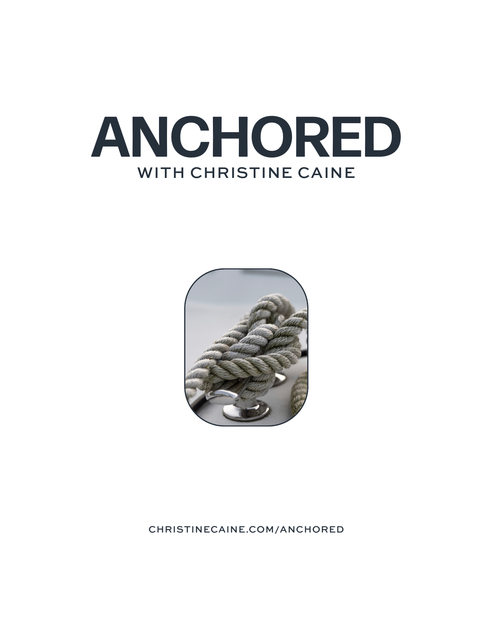



## CHRISTINECAINE.COM/ANCHORED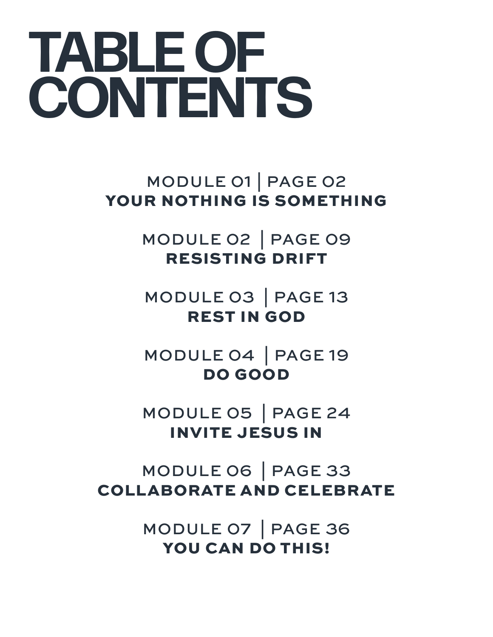# **TABLE OF CONTENTS**

MODULE 01 | PAGE 02 YOUR NOTHING IS SOMETHING

> MODULE 02 | PAGE 09 RESISTING DRIFT

MODULE 03 | PAGE 13 REST IN GOD

MODULE 04 | PAGE 19 DO GOOD

MODULE 05 | PAGE 24 INVITE JESUS IN

MODULE 06 | PAGE 33 COLLABORATE AND CELEBRATE

> MODULE 07 | PAGE 36 YOU CAN DO THIS!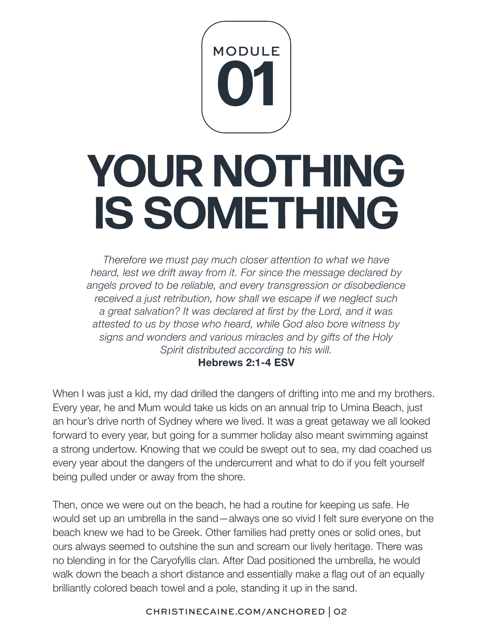

# **YOUR NOTHING IS SOMETHING**

*Therefore we must pay much closer attention to what we have heard, lest we drift away from it. For since the message declared by angels proved to be reliable, and every transgression or disobedience received a just retribution, how shall we escape if we neglect such a great salvation? It was declared at first by the Lord, and it was attested to us by those who heard, while God also bore witness by signs and wonders and various miracles and by gifts of the Holy Spirit distributed according to his will.*

**Hebrews 2:1-4 ESV**

When I was just a kid, my dad drilled the dangers of drifting into me and my brothers. Every year, he and Mum would take us kids on an annual trip to Umina Beach, just an hour's drive north of Sydney where we lived. It was a great getaway we all looked forward to every year, but going for a summer holiday also meant swimming against a strong undertow. Knowing that we could be swept out to sea, my dad coached us every year about the dangers of the undercurrent and what to do if you felt yourself being pulled under or away from the shore.

Then, once we were out on the beach, he had a routine for keeping us safe. He would set up an umbrella in the sand—always one so vivid I felt sure everyone on the beach knew we had to be Greek. Other families had pretty ones or solid ones, but ours always seemed to outshine the sun and scream our lively heritage. There was no blending in for the Caryofyllis clan. After Dad positioned the umbrella, he would walk down the beach a short distance and essentially make a flag out of an equally brilliantly colored beach towel and a pole, standing it up in the sand.

# CHRISTINECAINE.COM/ANCHORED | 02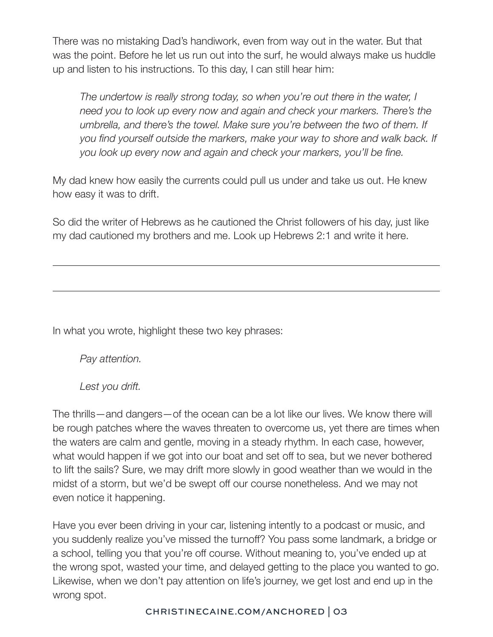There was no mistaking Dad's handiwork, even from way out in the water. But that was the point. Before he let us run out into the surf, he would always make us huddle up and listen to his instructions. To this day, I can still hear him:

*The undertow is really strong today, so when you're out there in the water, I need you to look up every now and again and check your markers. There's the umbrella, and there's the towel. Make sure you're between the two of them. If you find yourself outside the markers, make your way to shore and walk back. If you look up every now and again and check your markers, you'll be fine.*

My dad knew how easily the currents could pull us under and take us out. He knew how easy it was to drift.

So did the writer of Hebrews as he cautioned the Christ followers of his day, just like my dad cautioned my brothers and me. Look up Hebrews 2:1 and write it here.

In what you wrote, highlight these two key phrases:

*Pay attention.* 

*Lest you drift.* 

The thrills—and dangers—of the ocean can be a lot like our lives. We know there will be rough patches where the waves threaten to overcome us, yet there are times when the waters are calm and gentle, moving in a steady rhythm. In each case, however, what would happen if we got into our boat and set off to sea, but we never bothered to lift the sails? Sure, we may drift more slowly in good weather than we would in the midst of a storm, but we'd be swept off our course nonetheless. And we may not even notice it happening.

Have you ever been driving in your car, listening intently to a podcast or music, and you suddenly realize you've missed the turnoff? You pass some landmark, a bridge or a school, telling you that you're off course. Without meaning to, you've ended up at the wrong spot, wasted your time, and delayed getting to the place you wanted to go. Likewise, when we don't pay attention on life's journey, we get lost and end up in the wrong spot.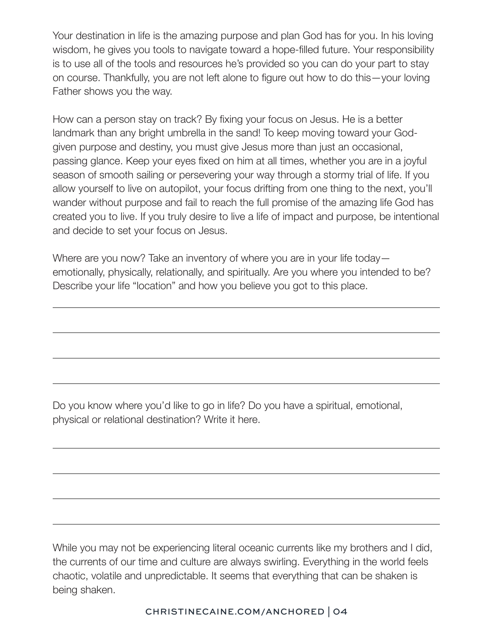Your destination in life is the amazing purpose and plan God has for you. In his loving wisdom, he gives you tools to navigate toward a hope-filled future. Your responsibility is to use all of the tools and resources he's provided so you can do your part to stay on course. Thankfully, you are not left alone to figure out how to do this—your loving Father shows you the way.

How can a person stay on track? By fixing your focus on Jesus. He is a better landmark than any bright umbrella in the sand! To keep moving toward your Godgiven purpose and destiny, you must give Jesus more than just an occasional, passing glance. Keep your eyes fixed on him at all times, whether you are in a joyful season of smooth sailing or persevering your way through a stormy trial of life. If you allow yourself to live on autopilot, your focus drifting from one thing to the next, you'll wander without purpose and fail to reach the full promise of the amazing life God has created you to live. If you truly desire to live a life of impact and purpose, be intentional and decide to set your focus on Jesus.

Where are you now? Take an inventory of where you are in your life today emotionally, physically, relationally, and spiritually. Are you where you intended to be? Describe your life "location" and how you believe you got to this place.

Do you know where you'd like to go in life? Do you have a spiritual, emotional, physical or relational destination? Write it here.

While you may not be experiencing literal oceanic currents like my brothers and I did, the currents of our time and culture are always swirling. Everything in the world feels chaotic, volatile and unpredictable. It seems that everything that can be shaken is being shaken.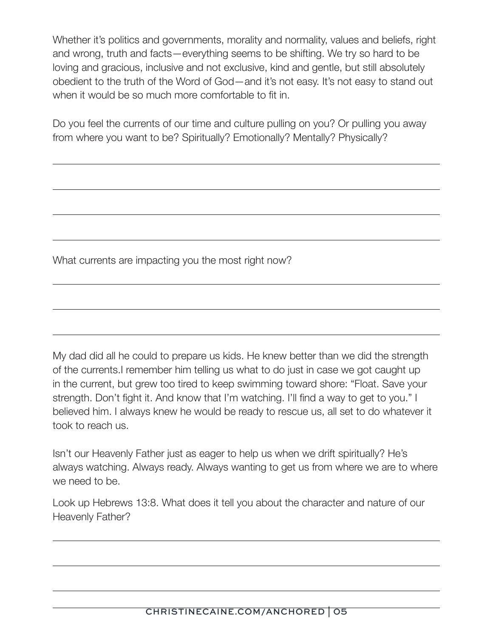Whether it's politics and governments, morality and normality, values and beliefs, right and wrong, truth and facts—everything seems to be shifting. We try so hard to be loving and gracious, inclusive and not exclusive, kind and gentle, but still absolutely obedient to the truth of the Word of God—and it's not easy. It's not easy to stand out when it would be so much more comfortable to fit in.

Do you feel the currents of our time and culture pulling on you? Or pulling you away from where you want to be? Spiritually? Emotionally? Mentally? Physically?

What currents are impacting you the most right now?

My dad did all he could to prepare us kids. He knew better than we did the strength of the currents.I remember him telling us what to do just in case we got caught up in the current, but grew too tired to keep swimming toward shore: "Float. Save your strength. Don't fight it. And know that I'm watching. I'll find a way to get to you." I believed him. I always knew he would be ready to rescue us, all set to do whatever it took to reach us.

Isn't our Heavenly Father just as eager to help us when we drift spiritually? He's always watching. Always ready. Always wanting to get us from where we are to where we need to be.

Look up Hebrews 13:8. What does it tell you about the character and nature of our Heavenly Father?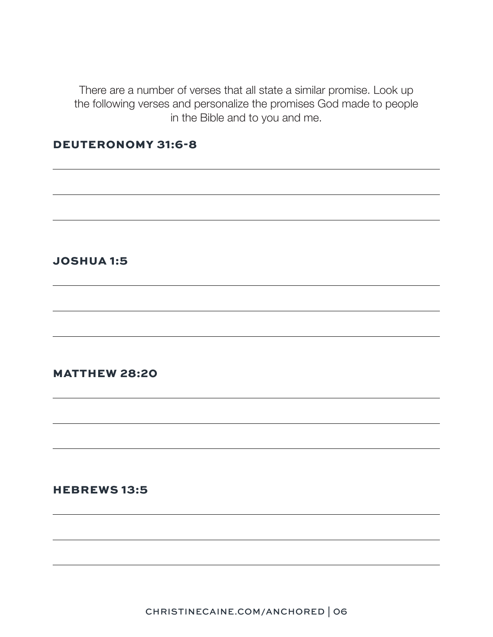There are a number of verses that all state a similar promise. Look up the following verses and personalize the promises God made to people in the Bible and to you and me.

# DEUTERONOMY 31:6-8

# JOSHUA 1:5

# MATTHEW 28:20

#### HEBREWS 13:5

CHRISTINECAINE.COM/ANCHORED | 06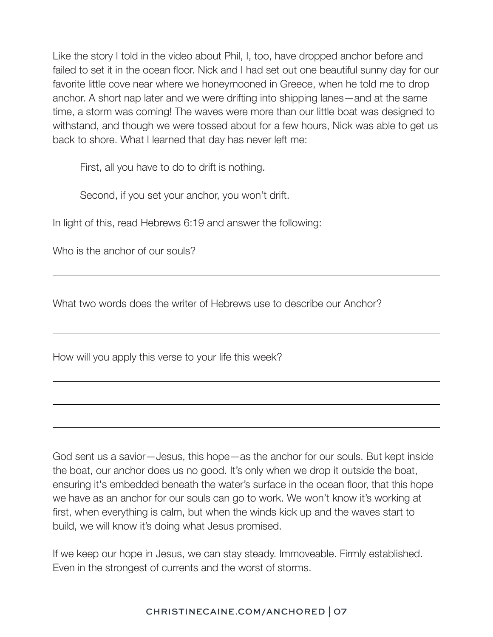Like the story I told in the video about Phil, I, too, have dropped anchor before and failed to set it in the ocean floor. Nick and I had set out one beautiful sunny day for our favorite little cove near where we honeymooned in Greece, when he told me to drop anchor. A short nap later and we were drifting into shipping lanes—and at the same time, a storm was coming! The waves were more than our little boat was designed to withstand, and though we were tossed about for a few hours, Nick was able to get us back to shore. What I learned that day has never left me:

First, all you have to do to drift is nothing.

Second, if you set your anchor, you won't drift.

In light of this, read Hebrews 6:19 and answer the following:

Who is the anchor of our souls?

What two words does the writer of Hebrews use to describe our Anchor?

How will you apply this verse to your life this week?

God sent us a savior—Jesus, this hope—as the anchor for our souls. But kept inside the boat, our anchor does us no good. It's only when we drop it outside the boat, ensuring it's embedded beneath the water's surface in the ocean floor, that this hope we have as an anchor for our souls can go to work. We won't know it's working at first, when everything is calm, but when the winds kick up and the waves start to build, we will know it's doing what Jesus promised.

If we keep our hope in Jesus, we can stay steady. Immoveable. Firmly established. Even in the strongest of currents and the worst of storms.